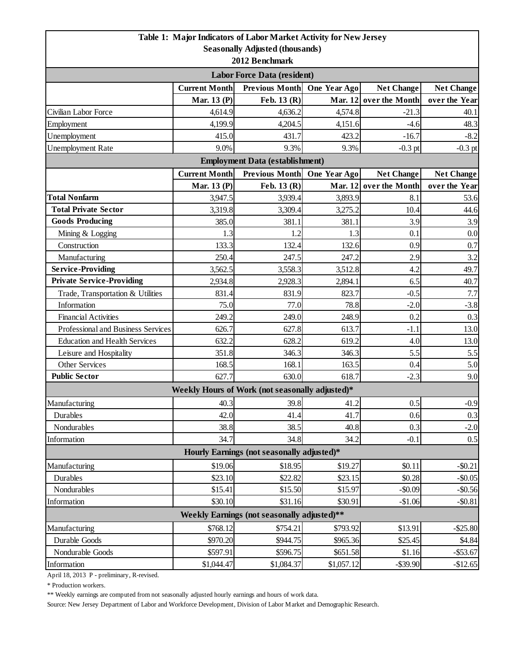|                                                                             |                      | Table 1: Major Indicators of Labor Market Activity for New Jersey |              |                        |                   |  |  |  |
|-----------------------------------------------------------------------------|----------------------|-------------------------------------------------------------------|--------------|------------------------|-------------------|--|--|--|
| <b>Seasonally Adjusted (thousands)</b>                                      |                      |                                                                   |              |                        |                   |  |  |  |
| 2012 Benchmark                                                              |                      |                                                                   |              |                        |                   |  |  |  |
| <b>Labor Force Data (resident)</b>                                          |                      |                                                                   |              |                        |                   |  |  |  |
|                                                                             | <b>Current Month</b> | <b>Previous Month</b>                                             | One Year Ago | <b>Net Change</b>      | <b>Net Change</b> |  |  |  |
|                                                                             | Mar. 13 (P)          | Feb. 13 (R)                                                       |              | Mar. 12 over the Month | over the Year     |  |  |  |
| Civilian Labor Force                                                        | 4,614.9              | 4,636.2                                                           | 4,574.8      | $-21.3$                | 40.1              |  |  |  |
| Employment                                                                  | 4,199.9              | 4,204.5                                                           | 4,151.6      | $-4.6$                 | 48.3              |  |  |  |
| Unemployment                                                                | 415.0                | 431.7                                                             | 423.2        | $-16.7$                | $-8.2$            |  |  |  |
| <b>Unemployment Rate</b>                                                    | 9.0%                 | 9.3%                                                              | 9.3%         | $-0.3$ pt              | $-0.3$ pt         |  |  |  |
| <b>Employment Data (establishment)</b>                                      |                      |                                                                   |              |                        |                   |  |  |  |
|                                                                             | <b>Current Month</b> | <b>Previous Month</b>                                             | One Year Ago | <b>Net Change</b>      | <b>Net Change</b> |  |  |  |
|                                                                             | Mar. 13 (P)          | Feb. 13 (R)                                                       |              | Mar. 12 over the Month | over the Year     |  |  |  |
| <b>Total Nonfarm</b>                                                        | 3,947.5              | 3,939.4                                                           | 3,893.9      | 8.1                    | 53.6              |  |  |  |
| <b>Total Private Sector</b>                                                 | 3,319.8              | 3,309.4                                                           | 3,275.2      | 10.4                   | 44.6              |  |  |  |
| <b>Goods Producing</b>                                                      | 385.0                | 381.1                                                             | 381.1        | 3.9                    | 3.9               |  |  |  |
| Mining & Logging                                                            | 1.3                  | 1.2                                                               | 1.3          | 0.1                    | 0.0               |  |  |  |
| Construction                                                                | 133.3                | 132.4                                                             | 132.6        | 0.9                    | 0.7               |  |  |  |
| Manufacturing                                                               | 250.4                | 247.5                                                             | 247.2        | 2.9                    | 3.2               |  |  |  |
| <b>Service-Providing</b>                                                    | 3,562.5              | 3,558.3                                                           | 3,512.8      | 4.2                    | 49.7              |  |  |  |
| <b>Private Service-Providing</b>                                            | 2,934.8              | 2,928.3                                                           | 2,894.1      | 6.5                    | 40.7              |  |  |  |
| Trade, Transportation & Utilities                                           | 831.4                | 831.9                                                             | 823.7        | $-0.5$                 | 7.7               |  |  |  |
| Information                                                                 | 75.0                 | 77.0                                                              | 78.8         | $-2.0$                 | $-3.8$            |  |  |  |
| <b>Financial Activities</b>                                                 | 249.2                | 249.0                                                             | 248.9        | 0.2                    | 0.3               |  |  |  |
| Professional and Business Services                                          | 626.7                | 627.8                                                             | 613.7        | $-1.1$                 | 13.0              |  |  |  |
| <b>Education and Health Services</b>                                        | 632.2                | 628.2                                                             | 619.2        | 4.0                    | 13.0              |  |  |  |
| Leisure and Hospitality                                                     | 351.8                | 346.3                                                             | 346.3        | 5.5                    | 5.5               |  |  |  |
| <b>Other Services</b>                                                       | 168.5                | 168.1                                                             | 163.5        | 0.4                    | 5.0               |  |  |  |
| <b>Public Sector</b>                                                        | 627.7                | 630.0                                                             | 618.7        | $-2.3$                 | 9.0               |  |  |  |
|                                                                             |                      | Weekly Hours of Work (not seasonally adjusted)*                   |              |                        |                   |  |  |  |
| Manufacturing                                                               | 40.3                 | 39.8                                                              | 41.2         | 0.5                    | $-0.9$            |  |  |  |
| Durables                                                                    | 42.0                 | 41.4                                                              | 41.7         | 0.6                    | 0.3               |  |  |  |
| Nondurables                                                                 | 38.8                 | 38.5                                                              | 40.8         | 0.3                    | $-2.0$            |  |  |  |
| Information                                                                 | 34.7                 | 34.8                                                              | 34.2         | $-0.1$                 | 0.5               |  |  |  |
| Hourly Earnings (not seasonally adjusted)*                                  |                      |                                                                   |              |                        |                   |  |  |  |
| Manufacturing                                                               | \$19.06              | \$18.95                                                           | \$19.27      | \$0.11                 | $-$ \$0.21        |  |  |  |
| Durables                                                                    | \$23.10              | \$22.82                                                           | \$23.15      | \$0.28                 | $-$0.05$          |  |  |  |
| Nondurables                                                                 | \$15.41              | \$15.50                                                           | \$15.97      | $-$0.09$               | $-$0.56$          |  |  |  |
| Information                                                                 | \$30.10              | \$31.16                                                           | \$30.91      | $-$1.06$               | $-$0.81$          |  |  |  |
| Weekly Earnings (not seasonally adjusted)**                                 |                      |                                                                   |              |                        |                   |  |  |  |
| \$768.12<br>\$754.21<br>\$793.92<br>\$13.91<br>$-$ \$25.80<br>Manufacturing |                      |                                                                   |              |                        |                   |  |  |  |
| Durable Goods                                                               | \$970.20             | \$944.75                                                          | \$965.36     | \$25.45                | \$4.84            |  |  |  |
| Nondurable Goods                                                            | \$597.91             | \$596.75                                                          | \$651.58     | \$1.16                 | $-$ \$53.67       |  |  |  |
| Information                                                                 | \$1,044.47           | \$1,084.37                                                        | \$1,057.12   | $-$ \$39.90            | $-$12.65$         |  |  |  |

April 18, 2013 P - preliminary, R-revised.

\* Production workers.

\*\* Weekly earnings are computed from not seasonally adjusted hourly earnings and hours of work data.

Source: New Jersey Department of Labor and Workforce Development, Division of Labor Market and Demographic Research.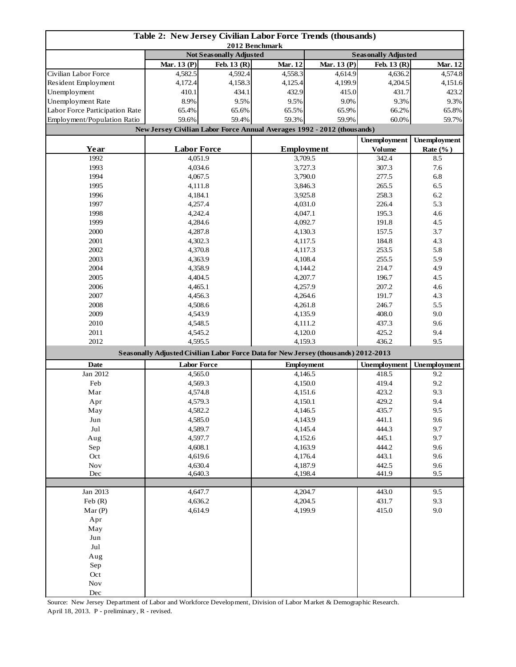| Table 2: New Jersey Civilian Labor Force Trends (thousands)<br>2012 Benchmark |                                                                                    |         |         |                   |                     |                     |
|-------------------------------------------------------------------------------|------------------------------------------------------------------------------------|---------|---------|-------------------|---------------------|---------------------|
|                                                                               | <b>Not Seasonally Adjusted</b><br><b>Seasonally Adjusted</b>                       |         |         |                   |                     |                     |
|                                                                               | Mar. 13 (P)<br>Feb. 13 (R)                                                         |         | Mar. 12 | Mar. 13 (P)       | Feb. 13 (R)         | Mar. 12             |
| Civilian Labor Force                                                          | 4,582.5                                                                            | 4,592.4 | 4,558.3 | 4,614.9           | 4,636.2             | 4,574.8             |
| Resident Employment                                                           | 4,172.4                                                                            | 4,158.3 | 4,125.4 | 4,199.9           | 4,204.5             | 4,151.6             |
| Unemployment                                                                  | 410.1                                                                              | 434.1   | 432.9   | 415.0             | 431.7               | 423.2               |
| Unemployment Rate                                                             | 8.9%                                                                               | 9.5%    | 9.5%    | 9.0%              | 9.3%                | 9.3%                |
| Labor Force Participation Rate                                                | 65.4%                                                                              | 65.6%   | 65.5%   | 65.9%             | 66.2%               | 65.8%               |
| Employment/Population Ratio                                                   | 59.6%                                                                              | 59.4%   | 59.3%   | 59.9%             | 60.0%               | 59.7%               |
|                                                                               | New Jersey Civilian Labor Force Annual Averages 1992 - 2012 (thousands)            |         |         |                   |                     |                     |
|                                                                               |                                                                                    |         |         |                   | <b>Unemployment</b> | <b>Unemployment</b> |
| Year                                                                          | <b>Labor Force</b>                                                                 |         |         | <b>Employment</b> | <b>Volume</b>       | Rate $(\%$ )        |
| 1992                                                                          | 4,051.9                                                                            |         |         | 3,709.5           | 342.4               | 8.5                 |
| 1993                                                                          | 4,034.6                                                                            |         | 3,727.3 |                   | 307.3               | 7.6                 |
| 1994                                                                          | 4,067.5                                                                            |         | 3,790.0 |                   | 277.5               | 6.8                 |
| 1995                                                                          | 4,111.8                                                                            |         | 3,846.3 |                   | 265.5               | 6.5                 |
| 1996                                                                          | 4,184.1                                                                            |         |         | 3,925.8           | 258.3               | 6.2                 |
| 1997                                                                          | 4,257.4                                                                            |         |         | 4,031.0           | 226.4               | 5.3                 |
| 1998                                                                          | 4,242.4                                                                            |         | 4,047.1 |                   | 195.3               | 4.6                 |
| 1999                                                                          | 4,284.6                                                                            |         |         | 4,092.7           | 191.8               | 4.5                 |
| 2000                                                                          | 4,287.8                                                                            |         |         | 4,130.3           | 157.5               | 3.7                 |
|                                                                               |                                                                                    |         |         |                   | 184.8               | 4.3                 |
| 2001                                                                          | 4,302.3                                                                            |         |         | 4,117.5           |                     |                     |
| 2002                                                                          | 4,370.8                                                                            |         |         | 4,117.3           | 253.5               | 5.8                 |
| 2003                                                                          | 4,363.9                                                                            |         |         | 4,108.4           | 255.5<br>214.7      | 5.9                 |
| 2004                                                                          | 4,358.9                                                                            |         |         | 4,144.2           |                     | 4.9                 |
| 2005                                                                          | 4,404.5                                                                            |         |         | 4,207.7           |                     | 4.5                 |
| 2006                                                                          | 4,465.1                                                                            |         | 4,257.9 |                   | 207.2               | 4.6                 |
| 2007                                                                          | 4,456.3                                                                            |         | 4,264.6 |                   | 191.7               | 4.3                 |
| 2008                                                                          | 4,508.6                                                                            |         | 4,261.8 |                   | 246.7               | 5.5                 |
| 2009                                                                          | 4,543.9                                                                            |         | 4,135.9 |                   | 408.0               | 9.0                 |
| 2010                                                                          | 4,548.5                                                                            |         | 4,111.2 |                   | 437.3               | 9.6                 |
| 2011                                                                          | 4,545.2                                                                            |         |         | 4,120.0           | 425.2               | 9.4                 |
| 2012                                                                          | 4,595.5                                                                            |         |         | 4,159.3           | 436.2               | 9.5                 |
|                                                                               | Seasonally Adjusted Civilian Labor Force Data for New Jersey (thousands) 2012-2013 |         |         |                   | Unemployment        |                     |
| <b>Date</b>                                                                   | <b>Labor Force</b>                                                                 |         |         | <b>Employment</b> |                     | <b>Unemployment</b> |
| Jan 2012                                                                      | 4,565.0                                                                            |         |         | 4,146.5           | 418.5               | 9.2                 |
| Feb                                                                           | 4,569.3                                                                            |         | 4,150.0 |                   | 419.4               | 9.2                 |
| Mar                                                                           | 4,574.8                                                                            |         | 4,151.6 |                   | 423.2               | 9.3                 |
| Apr                                                                           | 4,579.3                                                                            |         | 4,150.1 |                   | 429.2               | 9.4                 |
| May                                                                           | 4,582.2                                                                            |         | 4,146.5 |                   | 435.7               | 9.5                 |
| Jun                                                                           | 4,585.0                                                                            |         | 4,143.9 |                   | 441.1               | 9.6                 |
| Jul                                                                           | 4,589.7                                                                            |         | 4,145.4 |                   | 444.3               | 9.7                 |
| Aug                                                                           | 4,597.7                                                                            |         | 4,152.6 |                   | 445.1               | 9.7                 |
| Sep                                                                           | 4,608.1                                                                            |         | 4,163.9 |                   | 444.2               | 9.6                 |
| Oct                                                                           | 4,619.6                                                                            |         | 4,176.4 |                   | 443.1               | 9.6                 |
| $\operatorname{Nov}$                                                          | 4,630.4                                                                            |         | 4,187.9 |                   | 442.5               | 9.6                 |
| Dec                                                                           | 4,640.3                                                                            |         | 4,198.4 |                   | 441.9               | 9.5                 |
| Jan 2013                                                                      |                                                                                    |         |         |                   | 443.0               | 9.5                 |
|                                                                               | 4,647.7<br>4,636.2                                                                 |         | 4,204.7 |                   |                     |                     |
| Feb $(R)$                                                                     |                                                                                    |         | 4,204.5 |                   | 431.7<br>415.0      | 9.3<br>9.0          |
| Mar(P)                                                                        | 4,614.9                                                                            |         | 4,199.9 |                   |                     |                     |
| Apr                                                                           |                                                                                    |         |         |                   |                     |                     |
| May                                                                           |                                                                                    |         |         |                   |                     |                     |
| Jun                                                                           |                                                                                    |         |         |                   |                     |                     |
| Jul                                                                           |                                                                                    |         |         |                   |                     |                     |
| Aug                                                                           |                                                                                    |         |         |                   |                     |                     |
| Sep                                                                           |                                                                                    |         |         |                   |                     |                     |
| Oct                                                                           |                                                                                    |         |         |                   |                     |                     |
| $\operatorname{Nov}$                                                          |                                                                                    |         |         |                   |                     |                     |
| Dec                                                                           |                                                                                    |         |         |                   |                     |                     |

Source: New Jersey Department of Labor and Workforce Development, Division of Labor Market & Demographic Research. April 18, 2013. P - preliminary, R - revised.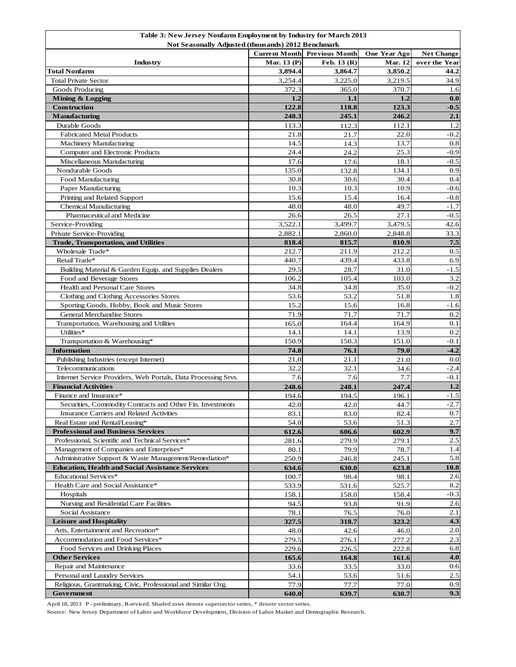| Table 3: New Jersey Nonfarm Employment by Industry for March 2013 |                      |                       |                |                   |  |  |  |
|-------------------------------------------------------------------|----------------------|-----------------------|----------------|-------------------|--|--|--|
| Not Seasonally Adjusted (thousands) 2012 Benchmark                |                      |                       |                |                   |  |  |  |
|                                                                   | <b>Current Month</b> | <b>Previous Month</b> | One Year Ago   | <b>Net Change</b> |  |  |  |
| Industry                                                          | Mar. 13 (P)          | Feb. 13 (R)           | <b>Mar. 12</b> | over the Year     |  |  |  |
| <b>Total Nonfarm</b>                                              | 3,894.4              | 3,864.7               | 3,850.2        | 44.2              |  |  |  |
| <b>Total Private Sector</b>                                       | 3,254.4              | 3,225.0               | 3,219.5        | 34.9              |  |  |  |
| Goods Producing                                                   | 372.3                | 365.0                 | 370.7          | 1.6               |  |  |  |
| Mining & Logging                                                  | 1.2                  | 1.1                   | 1.2            | 0.0               |  |  |  |
| <b>Construction</b>                                               | 122.8                | 118.8                 | 123.3          | $-0.5$            |  |  |  |
| Manufacturing                                                     | 248.3                | 245.1                 | 246.2          | 2.1               |  |  |  |
| Durable Goods                                                     | 113.3                | 112.3                 | 112.1          | 1.2               |  |  |  |
| <b>Fabricated Metal Products</b>                                  | 21.8                 | 21.7                  | 22.0           | $-0.2$            |  |  |  |
| <b>Machinery Manufacturing</b>                                    | 14.5                 | 14.3                  | 13.7           | 0.8               |  |  |  |
| Computer and Electronic Products                                  | 24.4                 | 24.2                  | 25.3           | $-0.9$            |  |  |  |
| Miscellaneous Manufacturing                                       | 17.6                 | 17.6                  | 18.1           | $-0.5$            |  |  |  |
| Nondurable Goods                                                  | 135.0                | 132.8                 | 134.1          | 0.9               |  |  |  |
| Food Manufacturing                                                | 30.8                 | 30.6                  | 30.4           | 0.4               |  |  |  |
| Paper Manufacturing                                               | 10.3                 | 10.3                  | 10.9           | $-0.6$            |  |  |  |
| Printing and Related Support                                      | 15.6                 | 15.4                  | 16.4           | $-0.8$            |  |  |  |
| <b>Chemical Manufacturing</b>                                     | 48.0                 | 48.0                  | 49.7           | $-1.7$            |  |  |  |
| Pharmaceutical and Medicine                                       | 26.6                 | 26.5                  | 27.1           | $-0.5$            |  |  |  |
| Service-Providing                                                 | 3,522.1              | 3,499.7               | 3,479.5        | 42.6              |  |  |  |
| Private Service-Providing                                         | 2,882.1              | 2,860.0               | 2,848.8        | 33.3              |  |  |  |
| <b>Trade, Transportation, and Utilities</b>                       | 818.4                | 815.7                 | 810.9          | 7.5               |  |  |  |
| Wholesale Trade*                                                  | 212.7                | 211.9                 | 212.2          | 0.5               |  |  |  |
| Retail Trade*                                                     | 440.7                | 439.4                 | 433.8          | 6.9               |  |  |  |
| Building Material & Garden Equip. and Supplies Dealers            | 29.5                 | 28.7                  | 31.0           | $-1.5$            |  |  |  |
| Food and Beverage Stores                                          | 106.2                | 105.4                 | 103.0          | 3.2               |  |  |  |
| Health and Personal Care Stores                                   | 34.8                 | 34.8                  | 35.0           | $-0.2$            |  |  |  |
| Clothing and Clothing Accessories Stores                          | 53.6                 | 53.2                  | 51.8           | 1.8               |  |  |  |
| Sporting Goods, Hobby, Book and Music Stores                      | 15.2                 | 15.6                  | 16.8           | $-1.6$            |  |  |  |
| <b>General Merchandise Stores</b>                                 | 71.9                 | 71.7                  | 71.7           | 0.2               |  |  |  |
| Transportation, Warehousing and Utilities                         | 165.0                | 164.4                 | 164.9          | 0.1               |  |  |  |
| Utilities*                                                        | 14.1                 | 14.1                  | 13.9           | 0.2               |  |  |  |
| Transportation & Warehousing*                                     | 150.9                | 150.3                 | 151.0          | $-0.1$            |  |  |  |
| <b>Information</b>                                                | 74.8                 | 76.1                  | 79.0           | $-4.2$            |  |  |  |
| Publishing Industries (except Internet)                           | 21.0                 | 21.1                  | 21.0           | 0.0               |  |  |  |
| Telecommunications                                                | 32.2                 | 32.1                  | 34.6           | $-2.4$            |  |  |  |
| Internet Service Providers, Web Portals, Data Processing Srvs.    | 7.6                  | 7.6                   | 7.7            | $-0.1$            |  |  |  |
| <b>Financial Activities</b>                                       | 248.6                | 248.1                 | 247.4          | 1.2               |  |  |  |
| Finance and Insurance*                                            | 194.6                | 194.5                 | 196.1          | $-1.5$            |  |  |  |
| Securities, Commodity Contracts and Other Fin. Investments        | 42.0                 | 42.0                  | 44.7           | $-2.7$            |  |  |  |
| Insurance Carriers and Related Activities                         | 83.1                 | 83.0                  | 82.4           | 0.7               |  |  |  |
| Real Estate and Rental/Leasing*                                   | 54.0                 | 53.6                  | 51.3           | 2.7               |  |  |  |
| <b>Professional and Business Services</b>                         | 612.6                | 606.6                 | 602.9          | 9.7               |  |  |  |
| Professional, Scientific and Technical Services*                  | 281.6                | 279.9                 | 279.1          | $2.5\,$           |  |  |  |
| Management of Companies and Enterprises*                          | 80.1                 | 79.9                  | 78.7           | 1.4               |  |  |  |
| Administrative Support & Waste Management/Remediation*            | 250.9                |                       | 245.1          | 5.8               |  |  |  |
| <b>Education, Health and Social Assistance Services</b>           |                      | 246.8                 |                | 10.8              |  |  |  |
| Educational Services*                                             | 634.6                | 630.0                 | 623.8<br>98.1  | 2.6               |  |  |  |
| Health Care and Social Assistance*                                | 100.7                | 98.4                  |                | 8.2               |  |  |  |
|                                                                   | 533.9                | 531.6                 | 525.7          | $-0.3$            |  |  |  |
| Hospitals<br>Nursing and Residential Care Facilities              | 158.1                | 158.0                 | 158.4          |                   |  |  |  |
|                                                                   | 94.5                 | 93.8                  | 91.9           | 2.6               |  |  |  |
| Social Assistance                                                 | 78.1                 | 76.5                  | 76.0           | 2.1               |  |  |  |
| <b>Leisure and Hospitality</b>                                    | 327.5                | 318.7                 | 323.2          | 4.3               |  |  |  |
| Arts, Entertainment and Recreation*                               | 48.0                 | 42.6                  | 46.0           | 2.0               |  |  |  |
| Accommodation and Food Services*                                  | 279.5                | 276.1                 | 277.2          | 2.3               |  |  |  |
| Food Services and Drinking Places                                 | 229.6                | 226.5                 | 222.8          | 6.8               |  |  |  |
| <b>Other Services</b>                                             | 165.6                | 164.8                 | 161.6          | 4.0               |  |  |  |
| Repair and Maintenance                                            | 33.6                 | 33.5                  | 33.0           | 0.6               |  |  |  |
| Personal and Laundry Services                                     | 54.1                 | 53.6                  | 51.6           | 2.5               |  |  |  |
| Religious, Grantmaking, Civic, Professional and Similar Org.      | 77.9                 | 77.7                  | 77.0           | 0.9               |  |  |  |
| Government                                                        | 640.0                | 639.7                 | 630.7          | 9.3               |  |  |  |

April 18, 2013 P - preliminary, R-revised. Shaded rows denote supersector series, \* denote sector series.

Source: New Jersey Department of Labor and Workforce Development, Division of Labor Market and Demographic Research.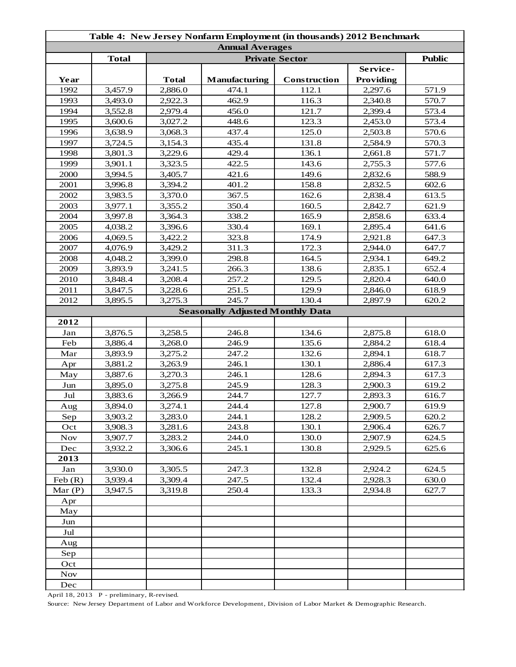| Table 4: New Jersey Nonfarm Employment (in thousands) 2012 Benchmark |              |              |                                         |              |           |       |  |
|----------------------------------------------------------------------|--------------|--------------|-----------------------------------------|--------------|-----------|-------|--|
| <b>Annual Averages</b><br><b>Public</b>                              |              |              |                                         |              |           |       |  |
|                                                                      | <b>Total</b> |              | <b>Private Sector</b>                   |              |           |       |  |
|                                                                      |              |              |                                         |              | Service-  |       |  |
| Year                                                                 |              | <b>Total</b> | Manufacturing                           | Construction | Providing |       |  |
| 1992                                                                 | 3,457.9      | 2,886.0      | 474.1                                   | 112.1        | 2,297.6   | 571.9 |  |
| 1993                                                                 | 3,493.0      | 2,922.3      | 462.9                                   | 116.3        | 2,340.8   | 570.7 |  |
| 1994                                                                 | 3,552.8      | 2,979.4      | 456.0                                   | 121.7        | 2,399.4   | 573.4 |  |
| 1995                                                                 | 3,600.6      | 3,027.2      | 448.6                                   | 123.3        | 2,453.0   | 573.4 |  |
| 1996                                                                 | 3,638.9      | 3,068.3      | 437.4                                   | 125.0        | 2,503.8   | 570.6 |  |
| 1997                                                                 | 3,724.5      | 3,154.3      | 435.4                                   | 131.8        | 2,584.9   | 570.3 |  |
| 1998                                                                 | 3,801.3      | 3,229.6      | 429.4                                   | 136.1        | 2,661.8   | 571.7 |  |
| 1999                                                                 | 3,901.1      | 3,323.5      | 422.5                                   | 143.6        | 2,755.3   | 577.6 |  |
| 2000                                                                 | 3,994.5      | 3,405.7      | 421.6                                   | 149.6        | 2,832.6   | 588.9 |  |
| 2001                                                                 | 3,996.8      | 3,394.2      | 401.2                                   | 158.8        | 2,832.5   | 602.6 |  |
| 2002                                                                 | 3,983.5      | 3,370.0      | 367.5                                   | 162.6        | 2,838.4   | 613.5 |  |
| 2003                                                                 | 3,977.1      | 3,355.2      | 350.4                                   | 160.5        | 2,842.7   | 621.9 |  |
| 2004                                                                 | 3,997.8      | 3,364.3      | 338.2                                   | 165.9        | 2,858.6   | 633.4 |  |
| 2005                                                                 | 4,038.2      | 3,396.6      | 330.4                                   | 169.1        | 2,895.4   | 641.6 |  |
| 2006                                                                 | 4,069.5      | 3,422.2      | 323.8                                   | 174.9        | 2,921.8   | 647.3 |  |
| 2007                                                                 | 4,076.9      | 3,429.2      | 311.3                                   | 172.3        | 2,944.0   | 647.7 |  |
| 2008                                                                 | 4,048.2      | 3,399.0      | 298.8                                   | 164.5        | 2,934.1   | 649.2 |  |
| 2009                                                                 | 3,893.9      | 3,241.5      | 266.3                                   | 138.6        | 2,835.1   | 652.4 |  |
| 2010                                                                 | 3,848.4      | 3,208.4      | 257.2                                   | 129.5        | 2,820.4   | 640.0 |  |
| 2011                                                                 | 3,847.5      | 3,228.6      | 251.5                                   | 129.9        | 2,846.0   | 618.9 |  |
| 2012                                                                 | 3,895.5      | 3,275.3      | 245.7                                   | 130.4        | 2,897.9   | 620.2 |  |
|                                                                      |              |              | <b>Seasonally Adjusted Monthly Data</b> |              |           |       |  |
| 2012                                                                 |              |              |                                         |              |           |       |  |
| ${\rm Jan}$                                                          | 3,876.5      | 3,258.5      | 246.8                                   | 134.6        | 2,875.8   | 618.0 |  |
| Feb                                                                  | 3,886.4      | 3,268.0      | 246.9                                   | 135.6        | 2,884.2   | 618.4 |  |
| Mar                                                                  | 3,893.9      | 3,275.2      | 247.2                                   | 132.6        | 2,894.1   | 618.7 |  |
| Apr                                                                  | 3,881.2      | 3,263.9      | 246.1                                   | 130.1        | 2,886.4   | 617.3 |  |
| May                                                                  | 3,887.6      | 3,270.3      | 246.1                                   | 128.6        | 2,894.3   | 617.3 |  |
| Jun                                                                  | 3,895.0      | 3,275.8      | 245.9                                   | 128.3        | 2,900.3   | 619.2 |  |
| Jul                                                                  | 3,883.6      | 3,266.9      | 244.7                                   | 127.7        | 2,893.3   | 616.7 |  |
| Aug                                                                  | 3,894.0      | 3,274.1      | 244.4                                   | 127.8        | 2,900.7   | 619.9 |  |
| Sep                                                                  | 3,903.2      | 3,283.0      | 244.1                                   | 128.2        | 2,909.5   | 620.2 |  |
| Oct                                                                  | 3,908.3      | 3,281.6      | 243.8                                   | 130.1        | 2,906.4   | 626.7 |  |
| <b>Nov</b>                                                           | 3,907.7      | 3,283.2      | 244.0                                   | 130.0        | 2,907.9   | 624.5 |  |
| Dec                                                                  | 3,932.2      | 3,306.6      | 245.1                                   | 130.8        | 2,929.5   | 625.6 |  |
| 2013                                                                 |              |              |                                         |              |           |       |  |
| Jan                                                                  | 3,930.0      | 3,305.5      | 247.3                                   | 132.8        | 2,924.2   | 624.5 |  |
| Feb(R)                                                               | 3,939.4      | 3,309.4      | 247.5                                   | 132.4        | 2,928.3   | 630.0 |  |
| Mar $(P)$                                                            | 3,947.5      | 3,319.8      | 250.4                                   | 133.3        | 2,934.8   | 627.7 |  |
| Apr                                                                  |              |              |                                         |              |           |       |  |
| May                                                                  |              |              |                                         |              |           |       |  |
| Jun                                                                  |              |              |                                         |              |           |       |  |
| Jul                                                                  |              |              |                                         |              |           |       |  |
| Aug                                                                  |              |              |                                         |              |           |       |  |
| Sep                                                                  |              |              |                                         |              |           |       |  |
| Oct                                                                  |              |              |                                         |              |           |       |  |
| <b>Nov</b>                                                           |              |              |                                         |              |           |       |  |
| Dec                                                                  |              |              |                                         |              |           |       |  |

April 18, 2013 P - preliminary, R-revised.

Source: New Jersey Department of Labor and Workforce Development, Division of Labor Market & Demographic Research.